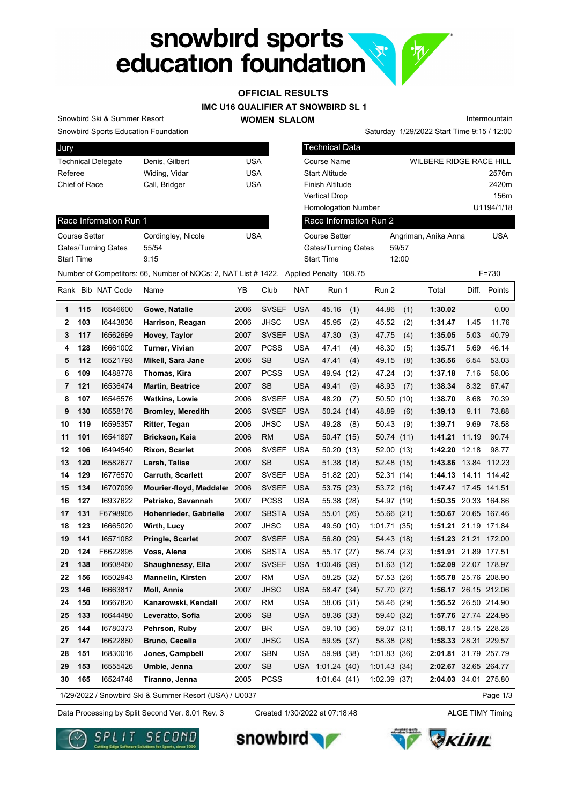# snowbird sports<br>education foundation

# **OFFICIAL RESULTS**

**IMC U16 QUALIFIER AT SNOWBIRD SL 1**

### **WOMEN SLALOM**

Intermountain

Snowbird Sports Education Foundation

Snowbird Ski & Summer Resort

| Jury                      |                |     |
|---------------------------|----------------|-----|
| <b>Technical Delegate</b> | Denis, Gilbert | USA |
| Referee                   | Widing, Vidar  | USA |
| Chief of Race             | Call, Bridger  | USA |
|                           |                |     |

| Jury                      |                                                                                      |            | <b>Technical Data</b>      |                                |            |
|---------------------------|--------------------------------------------------------------------------------------|------------|----------------------------|--------------------------------|------------|
| <b>Technical Delegate</b> | Denis, Gilbert                                                                       | <b>USA</b> | Course Name                | <b>WILBERE RIDGE RACE HILL</b> |            |
| Referee                   | Widing, Vidar                                                                        | <b>USA</b> | <b>Start Altitude</b>      |                                | 2576m      |
| Chief of Race             | Call, Bridger                                                                        | <b>USA</b> | Finish Altitude            |                                | 2420m      |
|                           |                                                                                      |            | <b>Vertical Drop</b>       |                                | 156m       |
|                           |                                                                                      |            | <b>Homologation Number</b> |                                | U1194/1/18 |
| Race Information Run 1    |                                                                                      |            | Race Information Run 2     |                                |            |
| <b>Course Setter</b>      | Cordingley, Nicole                                                                   | <b>USA</b> | Course Setter              | Angriman, Anika Anna           | <b>USA</b> |
| Gates/Turning Gates       | 55/54                                                                                |            | Gates/Turning Gates        | 59/57                          |            |
| <b>Start Time</b>         | 9:15                                                                                 |            | <b>Start Time</b>          | 12:00                          |            |
|                           | Number of Competitors: 66, Number of NOCs: 2, NAT List #1422, Applied Penalty 108.75 |            |                            |                                | $F = 730$  |

Saturday 1/29/2022 Start Time 9:15 / 12:00

## Race Information Run 1

| <b>Course Setter</b>       | Cordingley, Nicole | USA |
|----------------------------|--------------------|-----|
| <b>Gates/Turning Gates</b> | 55/54              |     |
| <b>Start Time</b>          | 9.15               |     |
|                            |                    |     |

|    |     | Rank Bib NAT Code | Name                     | YΒ   | Club         | <b>NAT</b> | Run 1        | Run 2       |      | Total                | Diff. | Points       |
|----|-----|-------------------|--------------------------|------|--------------|------------|--------------|-------------|------|----------------------|-------|--------------|
| 1  | 115 | 16546600          | Gowe, Natalie            | 2006 | <b>SVSEF</b> | <b>USA</b> | 45.16<br>(1) | 44.86       | (1)  | 1:30.02              |       | 0.00         |
| 2  | 103 | 16443836          | Harrison, Reagan         | 2006 | <b>JHSC</b>  | <b>USA</b> | 45.95<br>(2) | 45.52       | (2)  | 1:31.47              | 1.45  | 11.76        |
| 3  | 117 | 16562699          | Hovey, Taylor            | 2007 | <b>SVSEF</b> | <b>USA</b> | 47.30<br>(3) | 47.75       | (4)  | 1:35.05              | 5.03  | 40.79        |
| 4  | 128 | 16661002          | Turner, Vivian           | 2007 | <b>PCSS</b>  | <b>USA</b> | 47.41<br>(4) | 48.30       | (5)  | 1:35.71              | 5.69  | 46.14        |
| 5  | 112 | 16521793          | Mikell, Sara Jane        | 2006 | <b>SB</b>    | <b>USA</b> | 47.41<br>(4) | 49.15       | (8)  | 1:36.56              | 6.54  | 53.03        |
| 6  | 109 | 16488778          | Thomas, Kira             | 2007 | <b>PCSS</b>  | <b>USA</b> | 49.94 (12)   | 47.24       | (3)  | 1:37.18              | 7.16  | 58.06        |
| 7  | 121 | 16536474          | <b>Martin, Beatrice</b>  | 2007 | SB           | <b>USA</b> | 49.41<br>(9) | 48.93       | (7)  | 1:38.34              | 8.32  | 67.47        |
| 8  | 107 | 16546576          | <b>Watkins, Lowie</b>    | 2006 | <b>SVSEF</b> | <b>USA</b> | 48.20<br>(7) | 50.50       | (10) | 1:38.70              | 8.68  | 70.39        |
| 9  | 130 | 16558176          | <b>Bromley, Meredith</b> | 2006 | <b>SVSEF</b> | <b>USA</b> | 50.24 (14)   | 48.89       | (6)  | 1:39.13              | 9.11  | 73.88        |
| 10 | 119 | 16595357          | <b>Ritter, Tegan</b>     | 2006 | <b>JHSC</b>  | <b>USA</b> | 49.28<br>(8) | 50.43       | (9)  | 1:39.71              | 9.69  | 78.58        |
| 11 | 101 | 16541897          | <b>Brickson, Kaia</b>    | 2006 | <b>RM</b>    | <b>USA</b> | 50.47 (15)   | 50.74       | (11) | 1:41.21              | 11.19 | 90.74        |
| 12 | 106 | 16494540          | <b>Rixon, Scarlet</b>    | 2006 | <b>SVSEF</b> | <b>USA</b> | 50.20 (13)   | 52.00       | (13) | 1:42.20              | 12.18 | 98.77        |
| 13 | 120 | 16582677          | Larsh, Talise            | 2007 | <b>SB</b>    | <b>USA</b> | 51.38 (18)   | 52.48 (15)  |      | 1:43.86              | 13.84 | 112.23       |
| 14 | 129 | 16776570          | <b>Carruth, Scarlett</b> | 2007 | <b>SVSEF</b> | <b>USA</b> | 51.82 (20)   | 52.31       | (14) | 1:44.13              |       | 14.11 114.42 |
| 15 | 134 | 16707099          | Mourier-floyd, Maddaler  | 2006 | <b>SVSEF</b> | <b>USA</b> | 53.75 (23)   | 53.72 (16)  |      | 1:47.47              |       | 17.45 141.51 |
| 16 | 127 | 16937622          | Petrisko, Savannah       | 2007 | <b>PCSS</b>  | <b>USA</b> | 55.38 (28)   | 54.97 (19)  |      | 1:50.35 20.33 164.86 |       |              |
| 17 | 131 | F6798905          | Hohenrieder, Gabrielle   | 2007 | <b>SBSTA</b> | <b>USA</b> | 55.01 (26)   | 55.66 (21)  |      | 1:50.67 20.65 167.46 |       |              |
| 18 | 123 | 16665020          | Wirth, Lucy              | 2007 | <b>JHSC</b>  | <b>USA</b> | 49.50 (10)   | 1:01.71(35) |      | 1:51.21 21.19 171.84 |       |              |
| 19 | 141 | 16571082          | Pringle, Scarlet         | 2007 | <b>SVSEF</b> | <b>USA</b> | 56.80 (29)   | 54.43 (18)  |      | 1:51.23 21.21 172.00 |       |              |
| 20 | 124 | F6622895          | Voss, Alena              | 2006 | <b>SBSTA</b> | <b>USA</b> | 55.17 (27)   | 56.74 (23)  |      | 1:51.91              |       | 21.89 177.51 |
| 21 | 138 | 16608460          | Shaughnessy, Ella        | 2007 | <b>SVSEF</b> | <b>USA</b> | 1:00.46(39)  | 51.63 (12)  |      | 1:52.09              |       | 22.07 178.97 |
| 22 | 156 | 16502943          | <b>Mannelin, Kirsten</b> | 2007 | <b>RM</b>    | <b>USA</b> | 58.25 (32)   | 57.53 (26)  |      | 1:55.78 25.76 208.90 |       |              |
| 23 | 146 | 16663817          | <b>Moll, Annie</b>       | 2007 | <b>JHSC</b>  | <b>USA</b> | 58.47 (34)   | 57.70       | (27) | 1:56.17              |       | 26.15 212.06 |
| 24 | 150 | 16667820          | Kanarowski, Kendall      | 2007 | <b>RM</b>    | <b>USA</b> | 58.06 (31)   | 58.46 (29)  |      | 1:56.52              |       | 26.50 214.90 |
| 25 | 133 | 16644480          | Leveratto, Sofia         | 2006 | <b>SB</b>    | <b>USA</b> | 58.36 (33)   | 59.40 (32)  |      | 1:57.76 27.74 224.95 |       |              |
| 26 | 144 | 16780373          | Pehrson, Ruby            | 2007 | <b>BR</b>    | <b>USA</b> | 59.10 (36)   | 59.07 (31)  |      | 1:58.17              |       | 28.15 228.28 |
| 27 | 147 | 16622860          | Bruno, Cecelia           | 2007 | <b>JHSC</b>  | <b>USA</b> | 59.95 (37)   | 58.38 (28)  |      | 1:58.33              |       | 28.31 229.57 |
| 28 | 151 | 16830016          | Jones, Campbell          | 2007 | <b>SBN</b>   | <b>USA</b> | 59.98 (38)   | 1:01.83(36) |      | 2:01.81 31.79 257.79 |       |              |
| 29 | 153 | 16555426          | Umble, Jenna             | 2007 | <b>SB</b>    | USA        | 1:01.24(40)  | 1:01.43(34) |      | 2:02.67 32.65 264.77 |       |              |
| 30 | 165 | 16524748          | Tiranno, Jenna           | 2005 | <b>PCSS</b>  |            | 1:01.64(41)  | 1:02.39(37) |      | 2:04.03 34.01 275.80 |       |              |

1/29/2022 / Snowbird Ski & Summer Resort (USA) / U0037

Page 1/3

Data Processing by Split Second Ver. 8.01 Rev. 3 Created 1/30/2022 at 07:18:48 ALGE TIMY Timing

Created 1/30/2022 at 07:18:48







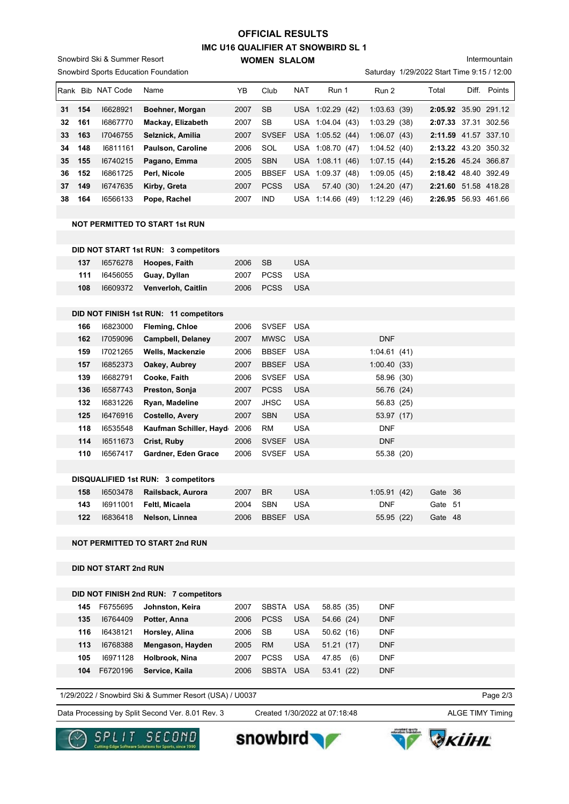# **IMC U16 QUALIFIER AT SNOWBIRD SL 1 WOMEN SLALOM OFFICIAL RESULTS**

Snowbird Ski & Summer Resort

Snowbird Sports Education Foundation

Intermountain

Saturday 1/29/2022 Start Time 9:15 / 12:00

|    |     | Rank Bib NAT Code            | Name                                   | YB   | Club         | NAT        | Run 1            | Run 2       | Total                | Diff. Points         |
|----|-----|------------------------------|----------------------------------------|------|--------------|------------|------------------|-------------|----------------------|----------------------|
| 31 | 154 | 16628921                     | Boehner, Morgan                        | 2007 | <b>SB</b>    |            | USA 1:02.29 (42) | 1:03.63(39) |                      | 2:05.92 35.90 291.12 |
| 32 | 161 | 16867770                     | Mackay, Elizabeth                      | 2007 | <b>SB</b>    |            | USA 1:04.04 (43) | 1:03.29(38) |                      | 2:07.33 37.31 302.56 |
| 33 | 163 | 17046755                     | Selznick, Amilia                       | 2007 | <b>SVSEF</b> |            | USA 1:05.52 (44) | 1:06.07(43) |                      | 2:11.59 41.57 337.10 |
| 34 | 148 | 16811161                     | Paulson, Caroline                      | 2006 | SOL          |            | USA 1:08.70 (47) | 1:04.52(40) | 2:13.22 43.20 350.32 |                      |
| 35 | 155 | 16740215                     | Pagano, Emma                           | 2005 | <b>SBN</b>   |            | USA 1:08.11 (46) | 1:07.15(44) | 2:15.26 45.24 366.87 |                      |
| 36 | 152 | 16861725                     | Perl, Nicole                           | 2005 | <b>BBSEF</b> |            | USA 1:09.37 (48) | 1:09.05(45) |                      | 2:18.42 48.40 392.49 |
| 37 | 149 | 16747635                     | Kirby, Greta                           | 2007 | <b>PCSS</b>  | <b>USA</b> | 57.40 (30)       | 1:24.20(47) |                      | 2:21.60 51.58 418.28 |
| 38 | 164 | 16566133                     | Pope, Rachel                           | 2007 | IND          |            | USA 1:14.66 (49) | 1:12.29(46) |                      | 2:26.95 56.93 461.66 |
|    |     |                              |                                        |      |              |            |                  |             |                      |                      |
|    |     |                              | <b>NOT PERMITTED TO START 1st RUN</b>  |      |              |            |                  |             |                      |                      |
|    |     |                              |                                        |      |              |            |                  |             |                      |                      |
|    |     |                              | DID NOT START 1st RUN: 3 competitors   |      |              |            |                  |             |                      |                      |
|    | 137 | 16576278                     | Hoopes, Faith                          | 2006 | <b>SB</b>    | <b>USA</b> |                  |             |                      |                      |
|    | 111 | 16456055                     | Guay, Dyllan                           | 2007 | <b>PCSS</b>  | <b>USA</b> |                  |             |                      |                      |
|    | 108 | 16609372                     | Venverloh, Caitlin                     | 2006 | <b>PCSS</b>  | <b>USA</b> |                  |             |                      |                      |
|    |     |                              |                                        |      |              |            |                  |             |                      |                      |
|    |     |                              | DID NOT FINISH 1st RUN: 11 competitors |      |              |            |                  |             |                      |                      |
|    | 166 | 16823000                     | <b>Fleming, Chloe</b>                  | 2006 | SVSEF USA    |            |                  |             |                      |                      |
|    | 162 | 17059096                     | <b>Campbell, Delaney</b>               | 2007 | <b>MWSC</b>  | <b>USA</b> |                  | <b>DNF</b>  |                      |                      |
|    | 159 | 17021265                     | <b>Wells, Mackenzie</b>                | 2006 | BBSEF USA    |            |                  | 1:04.61(41) |                      |                      |
|    | 157 | 16852373                     | Oakey, Aubrey                          | 2007 | <b>BBSEF</b> | <b>USA</b> |                  | 1:00.40(33) |                      |                      |
|    | 139 | 16682791                     | Cooke, Faith                           | 2006 | <b>SVSEF</b> | <b>USA</b> |                  | 58.96 (30)  |                      |                      |
|    | 136 | 16587743                     | Preston, Sonja                         | 2007 | <b>PCSS</b>  | <b>USA</b> |                  | 56.76 (24)  |                      |                      |
|    | 132 | 16831226                     | Ryan, Madeline                         | 2007 | JHSC         | <b>USA</b> |                  | 56.83 (25)  |                      |                      |
|    | 125 | 16476916                     | <b>Costello, Avery</b>                 | 2007 | <b>SBN</b>   | <b>USA</b> |                  | 53.97 (17)  |                      |                      |
|    | 118 | 16535548                     | Kaufman Schiller, Hayd 2006            |      | RM           | <b>USA</b> |                  | <b>DNF</b>  |                      |                      |
|    | 114 | 16511673                     | Crist, Ruby                            | 2006 | <b>SVSEF</b> | <b>USA</b> |                  | <b>DNF</b>  |                      |                      |
|    | 110 | 16567417                     | Gardner, Eden Grace                    | 2006 | SVSEF USA    |            |                  | 55.38 (20)  |                      |                      |
|    |     |                              |                                        |      |              |            |                  |             |                      |                      |
|    |     |                              | DISQUALIFIED 1st RUN: 3 competitors    |      |              |            |                  |             |                      |                      |
|    | 158 | 16503478                     | Railsback, Aurora                      | 2007 | <b>BR</b>    | <b>USA</b> |                  | 1:05.91(42) | Gate 36              |                      |
|    |     |                              |                                        | 2004 | <b>SBN</b>   | <b>USA</b> |                  | <b>DNF</b>  | Gate 51              |                      |
|    | 122 | 16836418                     | Nelson, Linnea                         | 2006 | BBSEF USA    |            |                  | 55.95 (22)  | Gate 48              |                      |
|    |     |                              | <b>NOT PERMITTED TO START 2nd RUN</b>  |      |              |            |                  |             |                      |                      |
|    |     | <b>DID NOT START 2nd RUN</b> |                                        |      |              |            |                  |             |                      |                      |
|    |     |                              |                                        |      |              |            |                  |             |                      |                      |
|    |     |                              | DID NOT FINICH 2nd DUN: 7 compatitors  |      |              |            |                  |             |                      |                      |

|     |          | DID NOT FINISH 2nd RUN: 7 competitors |      |             |            |              |            |
|-----|----------|---------------------------------------|------|-------------|------------|--------------|------------|
| 145 | F6755695 | Johnston, Keira                       | 2007 | SBSTA USA   |            | 58.85 (35)   | <b>DNF</b> |
| 135 | 16764409 | Potter, Anna                          | 2006 | <b>PCSS</b> | <b>USA</b> | 54.66 (24)   | <b>DNF</b> |
| 116 | 16438121 | Horsley, Alina                        | 2006 | SB          | <b>USA</b> | 50.62(16)    | <b>DNF</b> |
| 113 | 16768388 | Mengason, Hayden                      | 2005 | <b>RM</b>   | <b>USA</b> | 51.21(17)    | <b>DNF</b> |
| 105 | 16971128 | Holbrook, Nina                        | 2007 | <b>PCSS</b> | <b>USA</b> | 47.85<br>(6) | <b>DNF</b> |
| 104 | F6720196 | Service, Kaila                        | 2006 | SBSTA       | <b>USA</b> | 53.41 (22)   | <b>DNF</b> |

1/29/2022 / Snowbird Ski & Summer Resort (USA) / U0037

Page 2/3

Data Processing by Split Second Ver. 8.01 Rev. 3 Created 1/30/2022 at 07:18:48 ALGE TIMY Timing

Created 1/30/2022 at 07:18:48